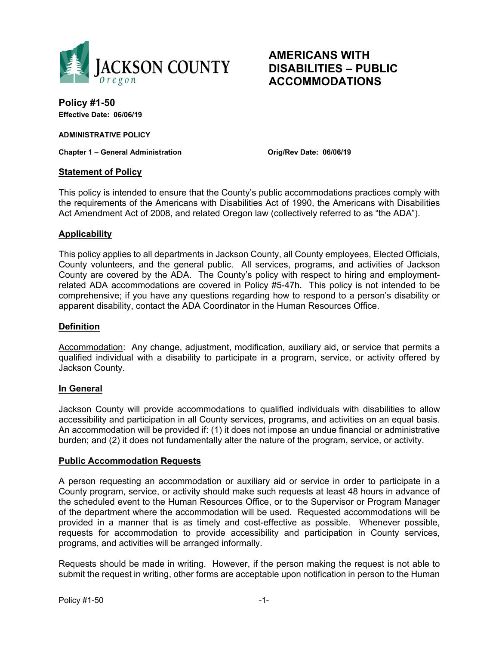

# **AMERICANS WITH DISABILITIES – PUBLIC ACCOMMODATIONS**

**Policy #1-50 Effective Date: 06/06/19** 

**ADMINISTRATIVE POLICY** 

**Chapter 1 – General Administration Orig/Rev Date: 06/06/19** 

### **Statement of Policy**

This policy is intended to ensure that the County's public accommodations practices comply with the requirements of the Americans with Disabilities Act of 1990, the Americans with Disabilities Act Amendment Act of 2008, and related Oregon law (collectively referred to as "the ADA").

# **Applicability**

This policy applies to all departments in Jackson County, all County employees, Elected Officials, County volunteers, and the general public. All services, programs, and activities of Jackson County are covered by the ADA. The County's policy with respect to hiring and employmentrelated ADA accommodations are covered in Policy #5-47h. This policy is not intended to be comprehensive; if you have any questions regarding how to respond to a person's disability or apparent disability, contact the ADA Coordinator in the Human Resources Office.

### **Definition**

Accommodation: Any change, adjustment, modification, auxiliary aid, or service that permits a qualified individual with a disability to participate in a program, service, or activity offered by Jackson County.

#### **In General**

Jackson County will provide accommodations to qualified individuals with disabilities to allow accessibility and participation in all County services, programs, and activities on an equal basis. An accommodation will be provided if: (1) it does not impose an undue financial or administrative burden; and (2) it does not fundamentally alter the nature of the program, service, or activity.

#### **Public Accommodation Requests**

A person requesting an accommodation or auxiliary aid or service in order to participate in a County program, service, or activity should make such requests at least 48 hours in advance of the scheduled event to the Human Resources Office, or to the Supervisor or Program Manager of the department where the accommodation will be used. Requested accommodations will be provided in a manner that is as timely and cost-effective as possible. Whenever possible, requests for accommodation to provide accessibility and participation in County services, programs, and activities will be arranged informally.

Requests should be made in writing. However, if the person making the request is not able to submit the request in writing, other forms are acceptable upon notification in person to the Human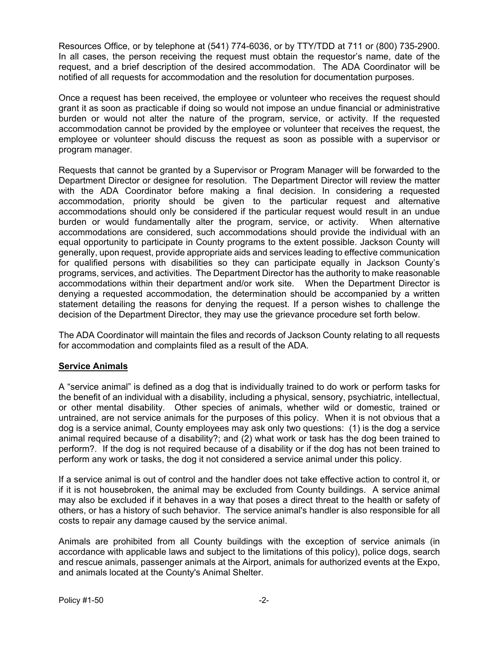Resources Office, or by telephone at (541) 774-6036, or by TTY/TDD at 711 or (800) 735-2900. In all cases, the person receiving the request must obtain the requestor's name, date of the request, and a brief description of the desired accommodation. The ADA Coordinator will be notified of all requests for accommodation and the resolution for documentation purposes.

Once a request has been received, the employee or volunteer who receives the request should grant it as soon as practicable if doing so would not impose an undue financial or administrative burden or would not alter the nature of the program, service, or activity. If the requested accommodation cannot be provided by the employee or volunteer that receives the request, the employee or volunteer should discuss the request as soon as possible with a supervisor or program manager.

Requests that cannot be granted by a Supervisor or Program Manager will be forwarded to the Department Director or designee for resolution. The Department Director will review the matter with the ADA Coordinator before making a final decision. In considering a requested accommodation, priority should be given to the particular request and alternative accommodations should only be considered if the particular request would result in an undue burden or would fundamentally alter the program, service, or activity. When alternative accommodations are considered, such accommodations should provide the individual with an equal opportunity to participate in County programs to the extent possible. Jackson County will generally, upon request, provide appropriate aids and services leading to effective communication for qualified persons with disabilities so they can participate equally in Jackson County's programs, services, and activities. The Department Director has the authority to make reasonable accommodations within their department and/or work site. When the Department Director is denying a requested accommodation, the determination should be accompanied by a written statement detailing the reasons for denying the request. If a person wishes to challenge the decision of the Department Director, they may use the grievance procedure set forth below.

The ADA Coordinator will maintain the files and records of Jackson County relating to all requests for accommodation and complaints filed as a result of the ADA.

# **Service Animals**

A "service animal" is defined as a dog that is individually trained to do work or perform tasks for the benefit of an individual with a disability, including a physical, sensory, psychiatric, intellectual, or other mental disability. Other species of animals, whether wild or domestic, trained or untrained, are not service animals for the purposes of this policy. When it is not obvious that a dog is a service animal, County employees may ask only two questions: (1) is the dog a service animal required because of a disability?; and (2) what work or task has the dog been trained to perform?. If the dog is not required because of a disability or if the dog has not been trained to perform any work or tasks, the dog it not considered a service animal under this policy.

If a service animal is out of control and the handler does not take effective action to control it, or if it is not housebroken, the animal may be excluded from County buildings. A service animal may also be excluded if it behaves in a way that poses a direct threat to the health or safety of others, or has a history of such behavior. The service animal's handler is also responsible for all costs to repair any damage caused by the service animal.

Animals are prohibited from all County buildings with the exception of service animals (in accordance with applicable laws and subject to the limitations of this policy), police dogs, search and rescue animals, passenger animals at the Airport, animals for authorized events at the Expo, and animals located at the County's Animal Shelter.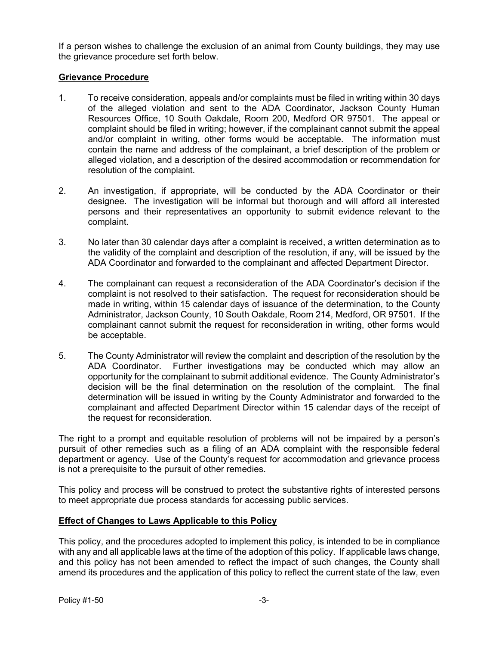If a person wishes to challenge the exclusion of an animal from County buildings, they may use the grievance procedure set forth below.

# **Grievance Procedure**

- 1. To receive consideration, appeals and/or complaints must be filed in writing within 30 days of the alleged violation and sent to the ADA Coordinator, Jackson County Human Resources Office, 10 South Oakdale, Room 200, Medford OR 97501. The appeal or complaint should be filed in writing; however, if the complainant cannot submit the appeal and/or complaint in writing, other forms would be acceptable. The information must contain the name and address of the complainant, a brief description of the problem or alleged violation, and a description of the desired accommodation or recommendation for resolution of the complaint.
- 2. An investigation, if appropriate, will be conducted by the ADA Coordinator or their designee. The investigation will be informal but thorough and will afford all interested persons and their representatives an opportunity to submit evidence relevant to the complaint.
- 3. No later than 30 calendar days after a complaint is received, a written determination as to the validity of the complaint and description of the resolution, if any, will be issued by the ADA Coordinator and forwarded to the complainant and affected Department Director.
- 4. The complainant can request a reconsideration of the ADA Coordinator's decision if the complaint is not resolved to their satisfaction. The request for reconsideration should be made in writing, within 15 calendar days of issuance of the determination, to the County Administrator, Jackson County, 10 South Oakdale, Room 214, Medford, OR 97501. If the complainant cannot submit the request for reconsideration in writing, other forms would be acceptable.
- 5. The County Administrator will review the complaint and description of the resolution by the ADA Coordinator. Further investigations may be conducted which may allow an opportunity for the complainant to submit additional evidence. The County Administrator's decision will be the final determination on the resolution of the complaint. The final determination will be issued in writing by the County Administrator and forwarded to the complainant and affected Department Director within 15 calendar days of the receipt of the request for reconsideration.

The right to a prompt and equitable resolution of problems will not be impaired by a person's pursuit of other remedies such as a filing of an ADA complaint with the responsible federal department or agency. Use of the County's request for accommodation and grievance process is not a prerequisite to the pursuit of other remedies.

This policy and process will be construed to protect the substantive rights of interested persons to meet appropriate due process standards for accessing public services.

# **Effect of Changes to Laws Applicable to this Policy**

This policy, and the procedures adopted to implement this policy, is intended to be in compliance with any and all applicable laws at the time of the adoption of this policy. If applicable laws change, and this policy has not been amended to reflect the impact of such changes, the County shall amend its procedures and the application of this policy to reflect the current state of the law, even